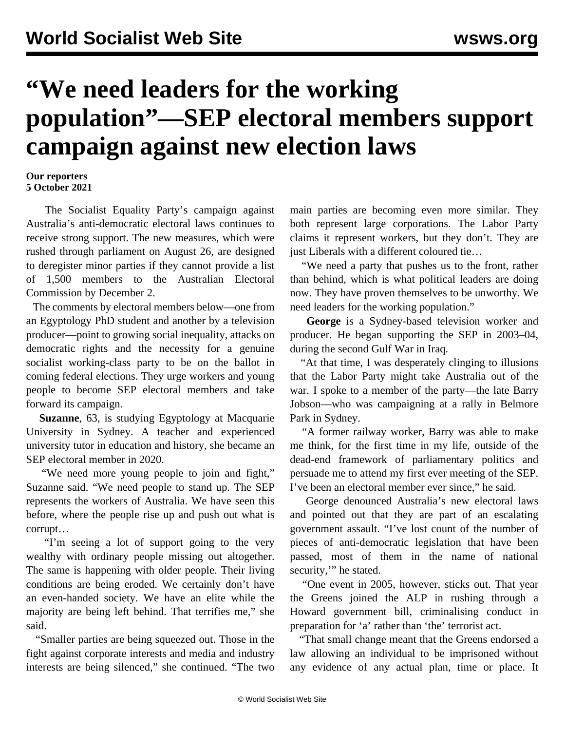## **"We need leaders for the working population"—SEP electoral members support campaign against new election laws**

## **Our reporters 5 October 2021**

 The Socialist Equality Party's campaign against Australia's anti-democratic electoral laws continues to receive strong support. The new measures, which were rushed through parliament on August 26, are designed to deregister minor parties if they cannot provide a list of 1,500 members to the Australian Electoral Commission by December 2.

 The comments by electoral members below—one from an Egyptology PhD student and another by a television producer—point to growing social inequality, attacks on democratic rights and the necessity for a genuine socialist working-class party to be on the ballot in coming federal elections. They urge workers and young people to become [SEP electoral members](/en/special/pages/sep/australia/home.html#emjoin) and take forward its campaign.

 **Suzanne**, 63, is studying Egyptology at Macquarie University in Sydney. A teacher and experienced university tutor in education and history, she became an SEP electoral member in 2020.

 "We need more young people to join and fight," Suzanne said. "We need people to stand up. The SEP represents the workers of Australia. We have seen this before, where the people rise up and push out what is corrupt…

 "I'm seeing a lot of support going to the very wealthy with ordinary people missing out altogether. The same is happening with older people. Their living conditions are being eroded. We certainly don't have an even-handed society. We have an elite while the majority are being left behind. That terrifies me," she said.

 "Smaller parties are being squeezed out. Those in the fight against corporate interests and media and industry interests are being silenced," she continued. "The two

main parties are becoming even more similar. They both represent large corporations. The Labor Party claims it represent workers, but they don't. They are just Liberals with a different coloured tie…

 "We need a party that pushes us to the front, rather than behind, which is what political leaders are doing now. They have proven themselves to be unworthy. We need leaders for the working population."

 **George** is a Sydney-based television worker and producer. He began supporting the SEP in 2003–04, during the second Gulf War in Iraq.

 "At that time, I was desperately clinging to illusions that the Labor Party might take Australia out of the war. I spoke to a member of the party—the late Barry Jobson—who was campaigning at a rally in Belmore Park in Sydney.

 "A former railway worker, Barry was able to make me think, for the first time in my life, outside of the dead-end framework of parliamentary politics and persuade me to attend my first ever meeting of the SEP. I've been an electoral member ever since," he said.

 George denounced Australia's new electoral laws and pointed out that they are part of an escalating government assault. "I've lost count of the number of pieces of anti-democratic legislation that have been passed, most of them in the name of national security," he stated.

 "One event in 2005, however, sticks out. That year the Greens joined the ALP in rushing through a Howard government bill, criminalising conduct in preparation for 'a' rather than 'the' terrorist act.

 "That small change meant that the Greens endorsed a law allowing an individual to be imprisoned without any evidence of any actual plan, time or place. It